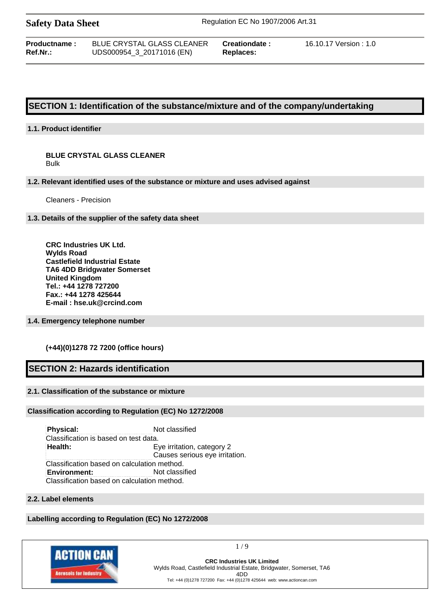| <b>Safety Data Sheet</b> |  |  |
|--------------------------|--|--|
|--------------------------|--|--|

**Safety Data Sheet** Regulation EC No 1907/2006 Art.31

**Productname :** BLUE CRYSTAL GLASS CLEANER **Creationdate :** 16.10.17 Version : 1.0 **Ref.Nr.:** UDS000954\_3\_20171016 (EN) **Replaces:**

## **SECTION 1: Identification of the substance/mixture and of the company/undertaking**

### **1.1. Product identifier**

#### **BLUE CRYSTAL GLASS CLEANER** Bulk

#### **1.2. Relevant identified uses of the substance or mixture and uses advised against**

Cleaners - Precision

#### **1.3. Details of the supplier of the safety data sheet**

**CRC Industries UK Ltd. Wylds Road Castlefield Industrial Estate TA6 4DD Bridgwater Somerset United Kingdom Tel.: +44 1278 727200 Fax.: +44 1278 425644 E-mail : hse.uk@crcind.com**

#### **1.4. Emergency telephone number**

#### **(+44)(0)1278 72 7200 (office hours)**

## **SECTION 2: Hazards identification**

#### **2.1. Classification of the substance or mixture**

#### **Classification according to Regulation (EC) No 1272/2008**

**Physical:** Not classified Classification is based on test data. **Health:** Eye irritation, category 2 Causes serious eye irritation. Classification based on calculation method. **Environment:** Not classified Classification based on calculation method.

#### **2.2. Label elements**

### **Labelling according to Regulation (EC) No 1272/2008**



1 / 9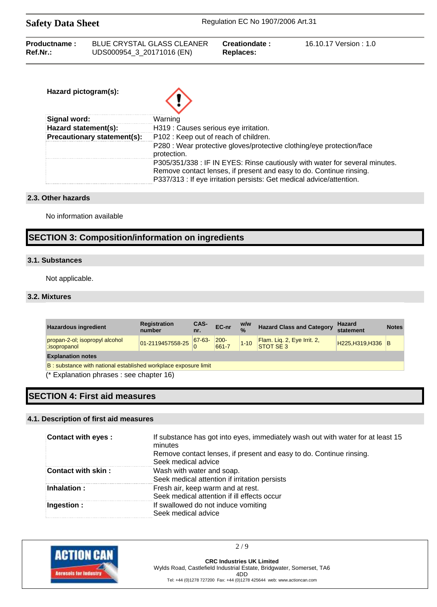| Productname: | <b>BLUE CRYSTAL GLASS CLEANER</b> | Creationdate: | 16.10.17 Version : 1.0 |
|--------------|-----------------------------------|---------------|------------------------|
| Ref.Nr.:     | UDS000954_3_20171016 (EN)         | Replaces:     |                        |

| Hazard pictogram(s):        |                                                                                                                                                                                                                            |
|-----------------------------|----------------------------------------------------------------------------------------------------------------------------------------------------------------------------------------------------------------------------|
| Signal word:                | Warning                                                                                                                                                                                                                    |
| Hazard statement(s):        | H319 : Causes serious eye irritation.                                                                                                                                                                                      |
| Precautionary statement(s): | P102: Keep out of reach of children.                                                                                                                                                                                       |
|                             | P280 : Wear protective gloves/protective clothing/eye protection/face<br>protection.                                                                                                                                       |
|                             | P305/351/338 : IF IN EYES: Rinse cautiously with water for several minutes.<br>Remove contact lenses, if present and easy to do. Continue rinsing.<br>P337/313 : If eye irritation persists: Get medical advice/attention. |

## **2.3. Other hazards**

No information available

## **SECTION 3: Composition/information on ingredients**

## **3.1. Substances**

Not applicable.

## **3.2. Mixtures**

| <b>Hazardous ingredient</b>                                     | <b>Registration</b><br>number | CAS-<br>nr. | EC-nr                                         | w/w<br>$\frac{0}{6}$ | <b>Hazard Class and Category</b>         | <b>Hazard</b><br>statement | <b>Notes</b> |
|-----------------------------------------------------------------|-------------------------------|-------------|-----------------------------------------------|----------------------|------------------------------------------|----------------------------|--------------|
| propan-2-ol; isopropyl alcohol<br>:isopropanol                  | $01-2119457558-25$ $67-63-$   |             | $\begin{array}{ l} 200 - 661 - 7 \end{array}$ | $1 - 10$             | Flam. Liq. 2, Eye Irrit. 2,<br>STOT SE 3 | H225, H319, H336 B         |              |
| <b>Explanation notes</b>                                        |                               |             |                                               |                      |                                          |                            |              |
| B: substance with national established workplace exposure limit |                               |             |                                               |                      |                                          |                            |              |
| (* Explanation phrases : see chapter 16)                        |                               |             |                                               |                      |                                          |                            |              |

## **SECTION 4: First aid measures**

#### **4.1. Description of first aid measures**

| <b>Contact with eyes:</b> | If substance has got into eyes, immediately wash out with water for at least 15<br>minutes<br>Remove contact lenses, if present and easy to do. Continue rinsing.<br>Seek medical advice |
|---------------------------|------------------------------------------------------------------------------------------------------------------------------------------------------------------------------------------|
| Contact with skin:        | Wash with water and soap.<br>Seek medical attention if irritation persists                                                                                                               |
| Inhalation:               | Fresh air, keep warm and at rest.<br>Seek medical attention if ill effects occur                                                                                                         |
| Ingestion:                | If swallowed do not induce vomiting<br>Seek medical advice                                                                                                                               |



2 / 9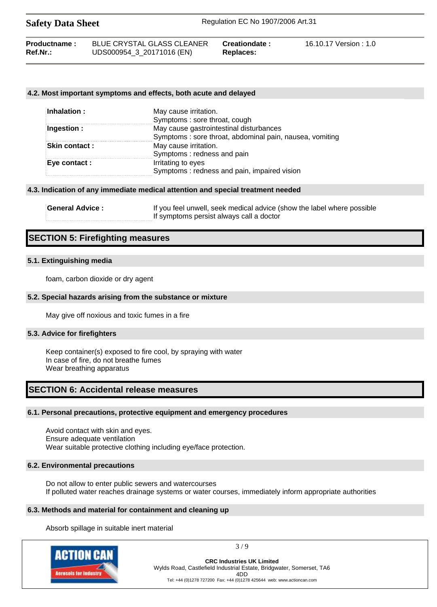| <b>Safety Data Sheet</b>           |                                                                | Regulation EC No 1907/2006 Art.31 |                        |  |
|------------------------------------|----------------------------------------------------------------|-----------------------------------|------------------------|--|
| <b>Productname:</b><br>$Ref.Nr.$ : | <b>BLUE CRYSTAL GLASS CLEANER</b><br>UDS000954_3_20171016 (EN) | Creationdate:<br>Replaces:        | 16.10.17 Version : 1.0 |  |

#### **4.2. Most important symptoms and effects, both acute and delayed**

| Inhalation :         | May cause irritation.                                   |
|----------------------|---------------------------------------------------------|
|                      | Symptoms: sore throat, cough                            |
| Ingestion :          | May cause gastrointestinal disturbances                 |
|                      | Symptoms: sore throat, abdominal pain, nausea, vomiting |
| <b>Skin contact:</b> | May cause irritation.                                   |
|                      | Symptoms: redness and pain                              |
| Eye contact :        | Irritating to eyes                                      |
|                      | Symptoms: redness and pain, impaired vision             |

#### **4.3. Indication of any immediate medical attention and special treatment needed**

| ∃General Advice : | If you feel unwell, seek medical advice (show the label where possible |
|-------------------|------------------------------------------------------------------------|
|                   | If symptoms persist always call a doctor                               |

## **SECTION 5: Firefighting measures**

#### **5.1. Extinguishing media**

foam, carbon dioxide or dry agent

#### **5.2. Special hazards arising from the substance or mixture**

May give off noxious and toxic fumes in a fire

#### **5.3. Advice for firefighters**

Keep container(s) exposed to fire cool, by spraying with water In case of fire, do not breathe fumes Wear breathing apparatus

## **SECTION 6: Accidental release measures**

#### **6.1. Personal precautions, protective equipment and emergency procedures**

Avoid contact with skin and eyes. Ensure adequate ventilation Wear suitable protective clothing including eye/face protection.

#### **6.2. Environmental precautions**

Do not allow to enter public sewers and watercourses If polluted water reaches drainage systems or water courses, immediately inform appropriate authorities

#### **6.3. Methods and material for containment and cleaning up**

Absorb spillage in suitable inert material



3 / 9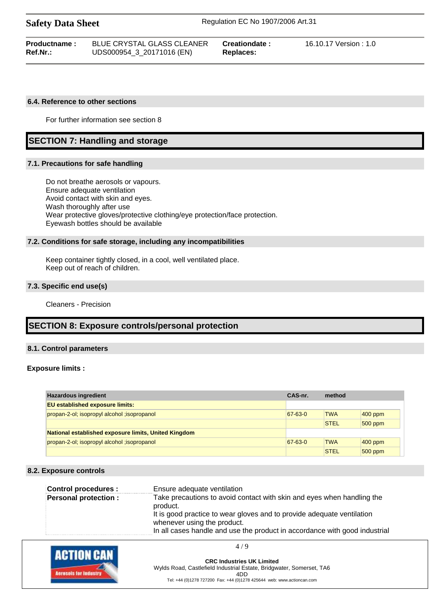| <b>Productname:</b> | BLUE CRYSTAL GLASS CLEANER | Creationdate: | 16.10.17 Version : 1.0 |
|---------------------|----------------------------|---------------|------------------------|
| Ref.Nr.:            | UDS000954_3_20171016 (EN)  | Replaces:     |                        |

#### **6.4. Reference to other sections**

For further information see section 8

## **SECTION 7: Handling and storage**

#### **7.1. Precautions for safe handling**

Do not breathe aerosols or vapours. Ensure adequate ventilation Avoid contact with skin and eyes. Wash thoroughly after use Wear protective gloves/protective clothing/eye protection/face protection. Eyewash bottles should be available

#### **7.2. Conditions for safe storage, including any incompatibilities**

Keep container tightly closed, in a cool, well ventilated place. Keep out of reach of children.

#### **7.3. Specific end use(s)**

Cleaners - Precision

## **SECTION 8: Exposure controls/personal protection**

#### **8.1. Control parameters**

#### **Exposure limits :**

| <b>Hazardous ingredient</b>                          | CAS-nr. | method      |           |
|------------------------------------------------------|---------|-------------|-----------|
| <b>EU</b> established exposure limits:               |         |             |           |
| propan-2-ol; isopropyl alcohol ; isopropanol         | 67-63-0 | <b>TWA</b>  | $400$ ppm |
|                                                      |         | <b>STEL</b> | $500$ ppm |
| National established exposure limits, United Kingdom |         |             |           |
| propan-2-ol; isopropyl alcohol ; isopropanol         | 67-63-0 | <b>TWA</b>  | $400$ ppm |
|                                                      |         | <b>STEL</b> | $500$ ppm |

#### **8.2. Exposure controls**

| <b>Control procedures:</b>  | Ensure adequate ventilation                                                                                                                                                         |
|-----------------------------|-------------------------------------------------------------------------------------------------------------------------------------------------------------------------------------|
| <b>Personal protection:</b> | Take precautions to avoid contact with skin and eyes when handling the<br>product.                                                                                                  |
|                             | It is good practice to wear gloves and to provide adequate ventilation<br>whenever using the product.<br>In all cases handle and use the product in accordance with good industrial |

4 / 9

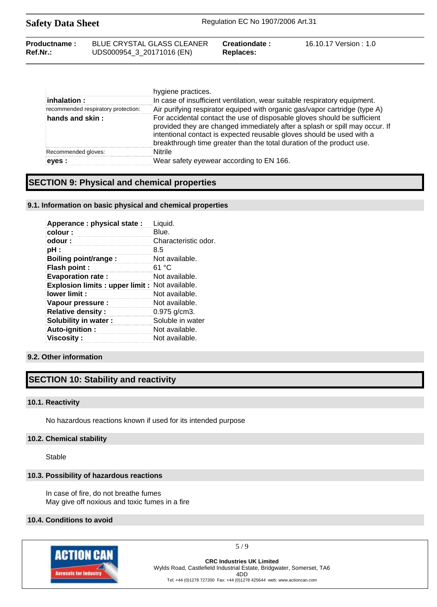| <b>Safety Data Sheet</b> |                            | Regulation EC No 1907/2006 Art.31 |                        |  |
|--------------------------|----------------------------|-----------------------------------|------------------------|--|
| Productname:             | BLUE CRYSTAL GLASS CLEANER | Creationdate:                     | 16.10.17 Version : 1.0 |  |

| inhalation:<br>recommended respiratory protection: | hygiene practices.<br>In case of insufficient ventilation, wear suitable respiratory equipment.<br>Air purifying respirator equiped with organic gas/vapor cartridge (type A)                                                                                                                             |
|----------------------------------------------------|-----------------------------------------------------------------------------------------------------------------------------------------------------------------------------------------------------------------------------------------------------------------------------------------------------------|
| hands and skin:                                    | For accidental contact the use of disposable gloves should be sufficient<br>provided they are changed immediately after a splash or spill may occur. If<br>intentional contact is expected reusable gloves should be used with a<br>breakthrough time greater than the total duration of the product use. |
| Recommended gloves:                                | <b>Nitrile</b>                                                                                                                                                                                                                                                                                            |
| eves :                                             | Wear safety eyewear according to EN 166.                                                                                                                                                                                                                                                                  |

## **SECTION 9: Physical and chemical properties**

#### **9.1. Information on basic physical and chemical properties**

**Ref.Nr.:** UDS000954\_3\_20171016 (EN) **Replaces:**

| Apperance: physical state:                           | Liquid.              |
|------------------------------------------------------|----------------------|
| colour:                                              | Blue.                |
| odour:                                               | Characteristic odor. |
| pH :                                                 | 8.5                  |
| Boiling point/range:                                 | Not available.       |
| Flash point:                                         | 61 °C                |
| <b>Evaporation rate:</b>                             | Not available.       |
| <b>Explosion limits: upper limit: Not available.</b> |                      |
| lower limit:                                         | Not available.       |
| Vapour pressure :                                    | Not available.       |
| <b>Relative density:</b>                             | $0.975$ g/cm3.       |
| Solubility in water:                                 | Soluble in water     |
| Auto-ignition:                                       | Not available.       |
| <b>Viscosity :</b>                                   | Not available.       |

#### **9.2. Other information**

## **SECTION 10: Stability and reactivity**

#### **10.1. Reactivity**

No hazardous reactions known if used for its intended purpose

#### **10.2. Chemical stability**

Stable

#### **10.3. Possibility of hazardous reactions**

In case of fire, do not breathe fumes May give off noxious and toxic fumes in a fire

#### **10.4. Conditions to avoid**



5 / 9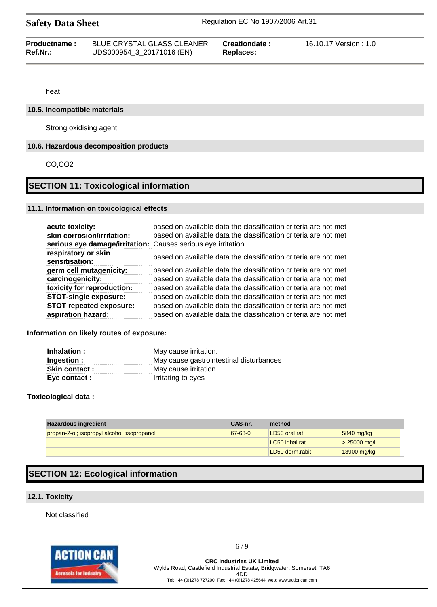| Productname: | <b>BLUE CRYSTAL GLASS CLEANER</b> | Creationdate : | 16.10.17 Version : 1.0 |
|--------------|-----------------------------------|----------------|------------------------|
| Ref.Nr.:     | UDS000954_3_20171016 (EN)         | Replaces:      |                        |
|              |                                   |                |                        |

heat

#### **10.5. Incompatible materials**

Strong oxidising agent

#### **10.6. Hazardous decomposition products**

CO,CO2

## **SECTION 11: Toxicological information**

#### **11.1. Information on toxicological effects**

| acute toxicity:                                               | based on available data the classification criteria are not met |
|---------------------------------------------------------------|-----------------------------------------------------------------|
| skin corrosion/irritation:                                    | based on available data the classification criteria are not met |
| serious eye damage/irritation: Causes serious eye irritation. |                                                                 |
| respiratory or skin<br>sensitisation:                         | based on available data the classification criteria are not met |
| germ cell mutagenicity:                                       | based on available data the classification criteria are not met |
| carcinogenicity:                                              | based on available data the classification criteria are not met |
| toxicity for reproduction:                                    | based on available data the classification criteria are not met |
| <b>STOT-single exposure:</b>                                  | based on available data the classification criteria are not met |
| <b>STOT repeated exposure:</b>                                | based on available data the classification criteria are not met |
| aspiration hazard:                                            | based on available data the classification criteria are not met |

#### **Information on likely routes of exposure:**

| Inhalation:          | May cause irritation.                   |
|----------------------|-----------------------------------------|
| Ingestion :          | May cause gastrointestinal disturbances |
| <b>Skin contact:</b> | May cause irritation.                   |
| Eye contact :        | Irritating to eyes                      |

#### **Toxicological data :**

| <b>Hazardous ingredient</b>                  | CAS-nr.       | method          |                |
|----------------------------------------------|---------------|-----------------|----------------|
| propan-2-ol; isopropyl alcohol ; isopropanol | $67 - 63 - 0$ | LD50 oral rat   | 5840 mg/kg     |
|                                              |               | LC50 inhal.rat  | $> 25000$ mg/l |
|                                              |               | LD50 derm.rabit | 13900 mg/kg    |

## **SECTION 12: Ecological information**

### **12.1. Toxicity**

Not classified



6 / 9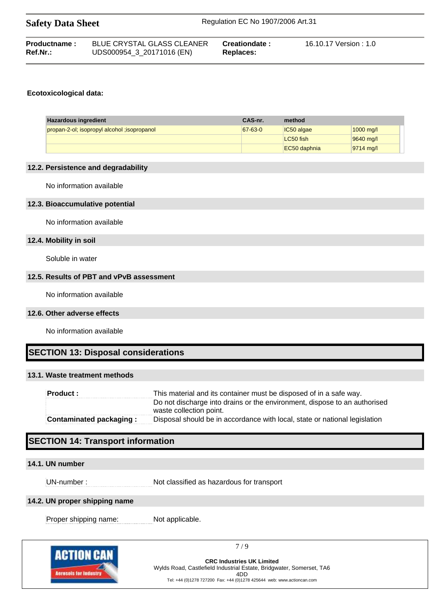| Productname: | <b>BLUE CRYSTAL GLASS CLEANER</b> | Creationdate : | 16.10.17 Version : 1.0 |
|--------------|-----------------------------------|----------------|------------------------|
| $Ref.Nr.$ :  | UDS000954_3_20171016 (EN)         | Replaces:      |                        |
|              |                                   |                |                        |

### **Ecotoxicological data:**

| <b>Hazardous ingredient</b>                  | CAS-nr.       | method       |                     |
|----------------------------------------------|---------------|--------------|---------------------|
| propan-2-ol; isopropyl alcohol ; isopropanol | $67 - 63 - 0$ | $IC50$ algae | $1000 \text{ mq/l}$ |
|                                              |               | LC50 fish    | 9640 mg/l           |
|                                              |               | EC50 daphnia | $ 9714 \text{ m}q$  |

#### **12.2. Persistence and degradability**

No information available

#### **12.3. Bioaccumulative potential**

No information available

#### **12.4. Mobility in soil**

Soluble in water

### **12.5. Results of PBT and vPvB assessment**

No information available

#### **12.6. Other adverse effects**

No information available

## **SECTION 13: Disposal considerations**

#### **13.1. Waste treatment methods**

| <b>Product :</b>               | This material and its container must be disposed of in a safe way.                                   |
|--------------------------------|------------------------------------------------------------------------------------------------------|
|                                | Do not discharge into drains or the environment, dispose to an authorised<br>waste collection point. |
| <b>Contaminated packaging:</b> | Disposal should be in accordance with local, state or national legislation                           |

# **SECTION 14: Transport information**

### **14.1. UN number**

UN-number : Not classified as hazardous for transport

#### **14.2. UN proper shipping name**

Proper shipping name: Not applicable.



7 / 9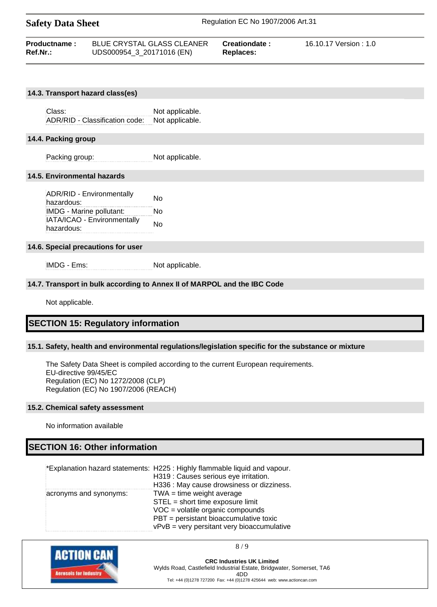| <b>Safety Data Sheet</b>               |                                                                | Regulation EC No 1907/2006 Art.31 |                        |  |
|----------------------------------------|----------------------------------------------------------------|-----------------------------------|------------------------|--|
| <b>Productname:</b><br><b>Ref.Nr.:</b> | <b>BLUE CRYSTAL GLASS CLEANER</b><br>UDS000954_3_20171016 (EN) | Creationdate:<br>Replaces:        | 16.10.17 Version : 1.0 |  |

#### **14.3. Transport hazard class(es)**

Class: Not applicable. ADR/RID - Classification code: Not applicable.

#### **14.4. Packing group**

Packing group: Not applicable.

#### **14.5. Environmental hazards**

ADR/RID - Environmentally hazardous: No IMDG - Marine pollutant: No IATA/ICAO - Environmentally **hazardous:** hazardous:

#### **14.6. Special precautions for user**

IMDG - Ems: Not applicable.

#### **14.7. Transport in bulk according to Annex II of MARPOL and the IBC Code**

Not applicable.

#### **SECTION 15: Regulatory information**

#### **15.1. Safety, health and environmental regulations/legislation specific for the substance or mixture**

The Safety Data Sheet is compiled according to the current European requirements. EU-directive 99/45/EC Regulation (EC) No 1272/2008 (CLP) Regulation (EC) No 1907/2006 (REACH)

#### **15.2. Chemical safety assessment**

No information available

## **SECTION 16: Other information**

|                        | *Explanation hazard statements: H225 : Highly flammable liquid and vapour. |
|------------------------|----------------------------------------------------------------------------|
|                        | H319 : Causes serious eye irritation.                                      |
|                        | H336 : May cause drowsiness or dizziness.                                  |
| acronyms and synonyms: | $TWA = time weight average$                                                |
|                        | STEL = short time exposure limit                                           |
|                        | $VOC = volatile organic compounds$                                         |
|                        | PBT = persistant bioaccumulative toxic                                     |
|                        | $vPvB = very$ persitant very bioaccumulative                               |



8 / 9